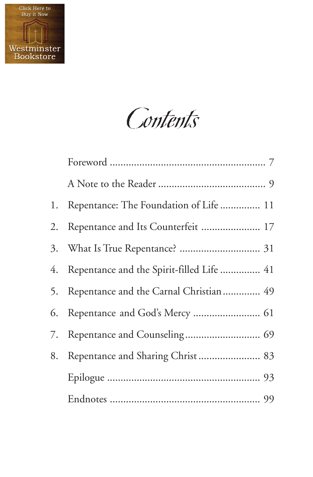

**Contents** 

| 1. | Repentance: The Foundation of Life  11       |
|----|----------------------------------------------|
| 2. | Repentance and Its Counterfeit  17           |
|    |                                              |
|    | 4. Repentance and the Spirit-filled Life  41 |
| 5. | Repentance and the Carnal Christian  49      |
| 6. | Repentance and God's Mercy  61               |
| 7. |                                              |
| 8. | Repentance and Sharing Christ 83             |
|    |                                              |
|    |                                              |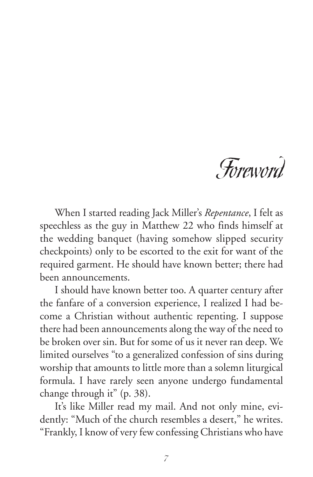

When I started reading Jack Miller's *Repentance*, I felt as speechless as the guy in Matthew 22 who finds himself at the wedding banquet (having somehow slipped security checkpoints) only to be escorted to the exit for want of the required garment. He should have known better; there had been announcements.

I should have known better too. A quarter century after the fanfare of a conversion experience, I realized I had become a Christian without authentic repenting. I suppose there had been announcements along the way of the need to be broken over sin. But for some of us it never ran deep. We limited ourselves "to a generalized confession of sins during worship that amounts to little more than a solemn liturgical formula. I have rarely seen anyone undergo fundamental change through it" (p. 38).

It's like Miller read my mail. And not only mine, evidently: "Much of the church resembles a desert," he writes. "Frankly, I know of very few confessing Christians who have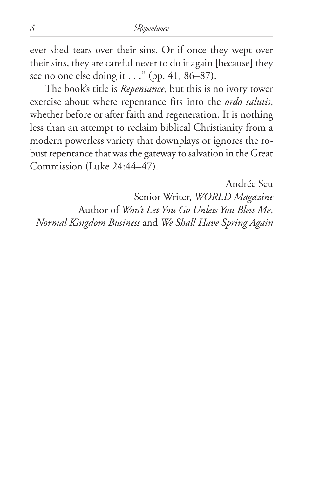ever shed tears over their sins. Or if once they wept over their sins, they are careful never to do it again [because] they see no one else doing it . . ." (pp. 41, 86–87).

The book's title is *Repentance*, but this is no ivory tower exercise about where repentance fits into the *ordo salutis*, whether before or after faith and regeneration. It is nothing less than an attempt to reclaim biblical Christianity from a modern powerless variety that downplays or ignores the robust repentance that was the gateway to salvation in the Great Commission (Luke 24:44–47).

Andrée Seu Senior Writer, *WORLD Magazine* Author of *Won't Let You Go Unless You Bless Me*, *Normal Kingdom Business* and *We Shall Have Spring Again*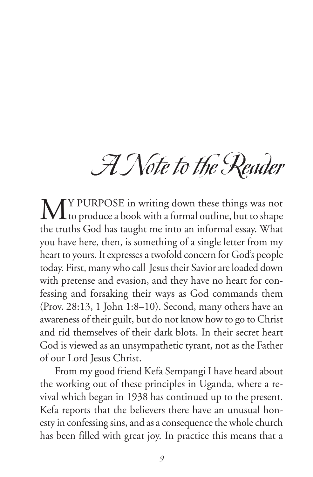## A Note to the Reader

MY PURPOSE in writing down these things was not<br>to produce a book with a formal outline, but to shape the truths God has taught me into an informal essay. What you have here, then, is something of a single letter from my heart to yours. It expresses a twofold concern for God's people today. First, many who call Jesus their Savior are loaded down with pretense and evasion, and they have no heart for confessing and forsaking their ways as God commands them (Prov. 28:13, 1 John 1:8–10). Second, many others have an awareness of their guilt, but do not know how to go to Christ and rid themselves of their dark blots. In their secret heart God is viewed as an unsympathetic tyrant, not as the Father of our Lord Jesus Christ.

From my good friend Kefa Sempangi I have heard about the working out of these principles in Uganda, where a revival which began in 1938 has continued up to the present. Kefa reports that the believers there have an unusual honesty in confessing sins, and as a consequence the whole church has been filled with great joy. In practice this means that a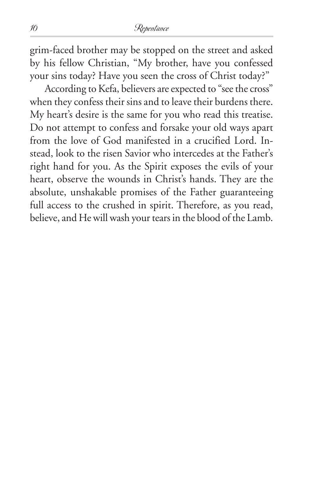## 10 Repentance

grim-faced brother may be stopped on the street and asked by his fellow Christian, "My brother, have you confessed your sins today? Have you seen the cross of Christ today?"

According to Kefa, believers are expected to "see the cross" when they confess their sins and to leave their burdens there. My heart's desire is the same for you who read this treatise. Do not attempt to confess and forsake your old ways apart from the love of God manifested in a crucified Lord. Instead, look to the risen Savior who intercedes at the Father's right hand for you. As the Spirit exposes the evils of your heart, observe the wounds in Christ's hands. They are the absolute, unshakable promises of the Father guaranteeing full access to the crushed in spirit. Therefore, as you read, believe, and He will wash your tears in the blood of the Lamb.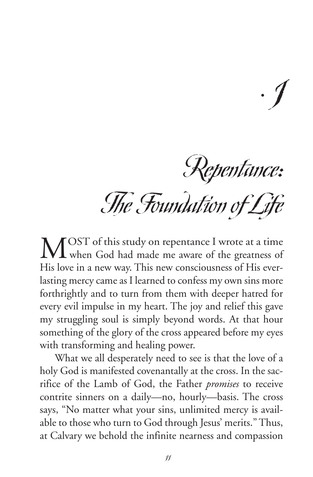Repentance: The Foundation of Life

 $\cdot$   $\int$ 

MOST of this study on repentance I wrote at a time<br>when God had made me aware of the greatness of His love in a new way. This new consciousness of His everlasting mercy came as I learned to confess my own sins more forthrightly and to turn from them with deeper hatred for every evil impulse in my heart. The joy and relief this gave my struggling soul is simply beyond words. At that hour something of the glory of the cross appeared before my eyes with transforming and healing power.

What we all desperately need to see is that the love of a holy God is manifested covenantally at the cross. In the sacrifice of the Lamb of God, the Father *promises* to receive contrite sinners on a daily—no, hourly—basis. The cross says, "No matter what your sins, unlimited mercy is available to those who turn to God through Jesus' merits." Thus, at Calvary we behold the infinite nearness and compassion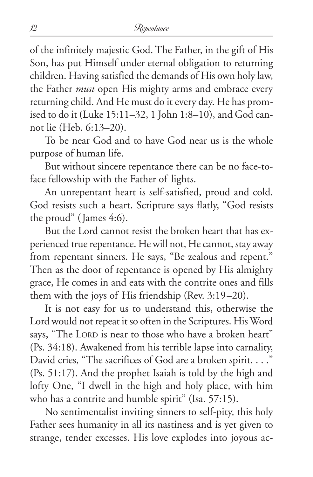of the infinitely majestic God. The Father, in the gift of His Son, has put Himself under eternal obligation to returning children. Having satisfied the demands of His own holy law, the Father *must* open His mighty arms and embrace every returning child. And He must do it every day. He has promised to do it (Luke 15:11–32, 1 John 1:8–10), and God cannot lie (Heb. 6:13–20).

To be near God and to have God near us is the whole purpose of human life.

But without sincere repentance there can be no face-toface fellowship with the Father of lights.

An unrepentant heart is self-satisfied, proud and cold. God resists such a heart. Scripture says flatly, "God resists the proud" (James 4:6).

But the Lord cannot resist the broken heart that has experienced true repentance. He will not, He cannot, stay away from repentant sinners. He says, "Be zealous and repent." Then as the door of repentance is opened by His almighty grace, He comes in and eats with the contrite ones and fills them with the joys of His friendship (Rev. 3:19–20).

It is not easy for us to understand this, otherwise the Lord would not repeat it so often in the Scriptures. His Word says, "The LORD is near to those who have a broken heart" (Ps. 34:18). Awakened from his terrible lapse into carnality, David cries, "The sacrifices of God are a broken spirit. . . ." (Ps. 51:17). And the prophet Isaiah is told by the high and lofty One, "I dwell in the high and holy place, with him who has a contrite and humble spirit" (Isa. 57:15).

No sentimentalist inviting sinners to self-pity, this holy Father sees humanity in all its nastiness and is yet given to strange, tender excesses. His love explodes into joyous ac-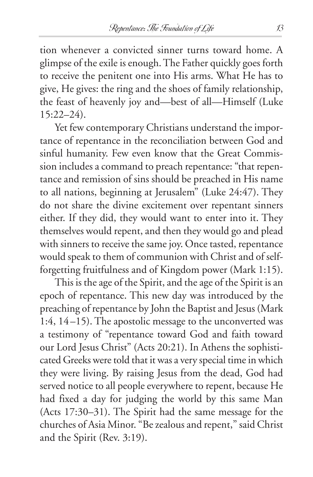tion whenever a convicted sinner turns toward home. A glimpse of the exile is enough. The Father quickly goes forth to receive the penitent one into His arms. What He has to give, He gives: the ring and the shoes of family relationship, the feast of heavenly joy and—best of all—Himself (Luke 15:22–24).

Yet few contemporary Christians understand the importance of repentance in the reconciliation between God and sinful humanity. Few even know that the Great Commission includes a command to preach repentance: "that repentance and remission of sins should be preached in His name to all nations, beginning at Jerusalem" (Luke 24:47). They do not share the divine excitement over repentant sinners either. If they did, they would want to enter into it. They themselves would repent, and then they would go and plead with sinners to receive the same joy. Once tasted, repentance would speak to them of communion with Christ and of selfforgetting fruitfulness and of Kingdom power (Mark 1:15).

This is the age of the Spirit, and the age of the Spirit is an epoch of repentance. This new day was introduced by the preaching of repentance by John the Baptist and Jesus (Mark 1:4, 14–15). The apostolic message to the unconverted was a testimony of "repentance toward God and faith toward our Lord Jesus Christ" (Acts 20:21). In Athens the sophisticated Greeks were told that it was a very special time in which they were living. By raising Jesus from the dead, God had served notice to all people everywhere to repent, because He had fixed a day for judging the world by this same Man (Acts 17:30–31). The Spirit had the same message for the churches of Asia Minor. "Be zealous and repent," said Christ and the Spirit (Rev. 3:19).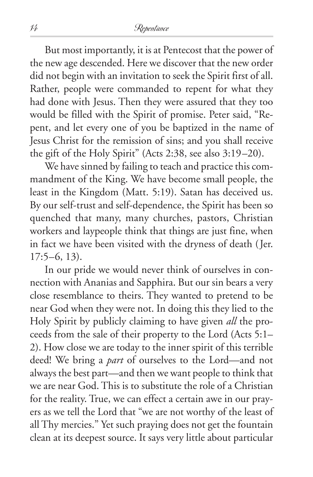But most importantly, it is at Pentecost that the power of the new age descended. Here we discover that the new order did not begin with an invitation to seek the Spirit first of all. Rather, people were commanded to repent for what they had done with Jesus. Then they were assured that they too would be filled with the Spirit of promise. Peter said, "Repent, and let every one of you be baptized in the name of Jesus Christ for the remission of sins; and you shall receive the gift of the Holy Spirit" (Acts 2:38, see also 3:19–20).

We have sinned by failing to teach and practice this commandment of the King. We have become small people, the least in the Kingdom (Matt. 5:19). Satan has deceived us. By our self-trust and self-dependence, the Spirit has been so quenched that many, many churches, pastors, Christian workers and laypeople think that things are just fine, when in fact we have been visited with the dryness of death (Jer.  $17:5-6, 13$ .

In our pride we would never think of ourselves in connection with Ananias and Sapphira. But our sin bears a very close resemblance to theirs. They wanted to pretend to be near God when they were not. In doing this they lied to the Holy Spirit by publicly claiming to have given *all* the proceeds from the sale of their property to the Lord (Acts 5:1– 2). How close we are today to the inner spirit of this terrible deed! We bring a *part* of ourselves to the Lord—and not always the best part—and then we want people to think that we are near God. This is to substitute the role of a Christian for the reality. True, we can effect a certain awe in our prayers as we tell the Lord that "we are not worthy of the least of all Thy mercies." Yet such praying does not get the fountain clean at its deepest source. It says very little about particular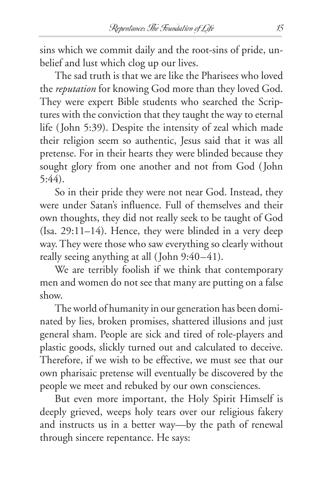sins which we commit daily and the root-sins of pride, unbelief and lust which clog up our lives.

The sad truth is that we are like the Pharisees who loved the *reputation* for knowing God more than they loved God. They were expert Bible students who searched the Scriptures with the conviction that they taught the way to eternal life (John 5:39). Despite the intensity of zeal which made their religion seem so authentic, Jesus said that it was all pretense. For in their hearts they were blinded because they sought glory from one another and not from God (John 5:44).

So in their pride they were not near God. Instead, they were under Satan's influence. Full of themselves and their own thoughts, they did not really seek to be taught of God (Isa. 29:11–14). Hence, they were blinded in a very deep way. They were those who saw everything so clearly without really seeing anything at all (John 9:40–41).

We are terribly foolish if we think that contemporary men and women do not see that many are putting on a false show.

The world of humanity in our generation has been dominated by lies, broken promises, shattered illusions and just general sham. People are sick and tired of role-players and plastic goods, slickly turned out and calculated to deceive. Therefore, if we wish to be effective, we must see that our own pharisaic pretense will eventually be discovered by the people we meet and rebuked by our own consciences.

But even more important, the Holy Spirit Himself is deeply grieved, weeps holy tears over our religious fakery and instructs us in a better way—by the path of renewal through sincere repentance. He says: